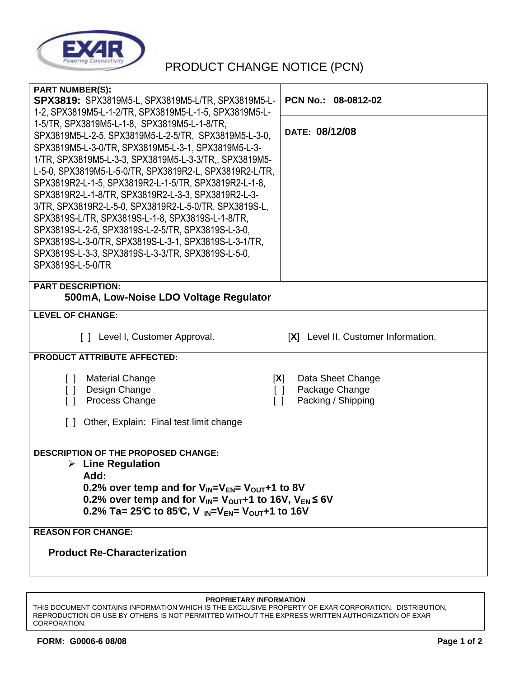

## PRODUCT CHANGE NOTICE (PCN)

| <b>PART NUMBER(S):</b><br><b>SPX3819:</b> SPX3819M5-L, SPX3819M5-L/TR, SPX3819M5-L-<br>1-2, SPX3819M5-L-1-2/TR, SPX3819M5-L-1-5, SPX3819M5-L- | PCN No.: 08-0812-02                  |  |
|-----------------------------------------------------------------------------------------------------------------------------------------------|--------------------------------------|--|
| 1-5/TR, SPX3819M5-L-1-8, SPX3819M5-L-1-8/TR,                                                                                                  | DATE: 08/12/08                       |  |
| SPX3819M5-L-2-5, SPX3819M5-L-2-5/TR, SPX3819M5-L-3-0,<br>SPX3819M5-L-3-0/TR, SPX3819M5-L-3-1, SPX3819M5-L-3-                                  |                                      |  |
| 1/TR, SPX3819M5-L-3-3, SPX3819M5-L-3-3/TR,, SPX3819M5-                                                                                        |                                      |  |
| L-5-0, SPX3819M5-L-5-0/TR, SPX3819R2-L, SPX3819R2-L/TR,                                                                                       |                                      |  |
| SPX3819R2-L-1-5, SPX3819R2-L-1-5/TR, SPX3819R2-L-1-8,                                                                                         |                                      |  |
| SPX3819R2-L-1-8/TR, SPX3819R2-L-3-3, SPX3819R2-L-3-<br>3/TR, SPX3819R2-L-5-0, SPX3819R2-L-5-0/TR, SPX3819S-L,                                 |                                      |  |
| SPX3819S-L/TR, SPX3819S-L-1-8, SPX3819S-L-1-8/TR,                                                                                             |                                      |  |
| SPX3819S-L-2-5, SPX3819S-L-2-5/TR, SPX3819S-L-3-0,                                                                                            |                                      |  |
| SPX3819S-L-3-0/TR, SPX3819S-L-3-1, SPX3819S-L-3-1/TR,<br>SPX3819S-L-3-3, SPX3819S-L-3-3/TR, SPX3819S-L-5-0,                                   |                                      |  |
| SPX3819S-L-5-0/TR                                                                                                                             |                                      |  |
| <b>PART DESCRIPTION:</b>                                                                                                                      |                                      |  |
| 500mA, Low-Noise LDO Voltage Regulator                                                                                                        |                                      |  |
| <b>LEVEL OF CHANGE:</b>                                                                                                                       |                                      |  |
| [ ] Level I, Customer Approval.                                                                                                               | [X] Level II, Customer Information.  |  |
| PRODUCT ATTRIBUTE AFFECTED:                                                                                                                   |                                      |  |
| <b>Material Change</b><br>$\lceil$ $\rceil$<br>[X]                                                                                            | Data Sheet Change                    |  |
| Design Change<br>$\Box$<br>$\Box$<br>Process Change                                                                                           | Package Change<br>Packing / Shipping |  |
| $\Box$<br>$\Box$                                                                                                                              |                                      |  |
| [ ] Other, Explain: Final test limit change                                                                                                   |                                      |  |
|                                                                                                                                               |                                      |  |
| <b>DESCRIPTION OF THE PROPOSED CHANGE:</b>                                                                                                    |                                      |  |
| $\triangleright$ Line Regulation<br>Add:                                                                                                      |                                      |  |
| 0.2% over temp and for $V_{IN} = V_{EN} = V_{OUT} + 1$ to 8V                                                                                  |                                      |  |
| 0.2% over temp and for $V_{IN} = V_{OUT}+1$ to 16V, $V_{EN} \le 6V$                                                                           |                                      |  |
| 0.2% Ta= 25°C to 85°C, V $_{IN}=V_{EN}=V_{OUT}+1$ to 16V                                                                                      |                                      |  |
| <b>REASON FOR CHANGE:</b>                                                                                                                     |                                      |  |
| <b>Product Re-Characterization</b>                                                                                                            |                                      |  |
|                                                                                                                                               |                                      |  |

## **PROPRIETARY INFORMATION**

THIS DOCUMENT CONTAINS INFORMATION WHICH IS THE EXCLUSIVE PROPERTY OF EXAR CORPORATION. DISTRIBUTION, REPRODUCTION OR USE BY OTHERS IS NOT PERMITTED WITHOUT THE EXPRESS WRITTEN AUTHORIZATION OF EXAR CORPORATION.